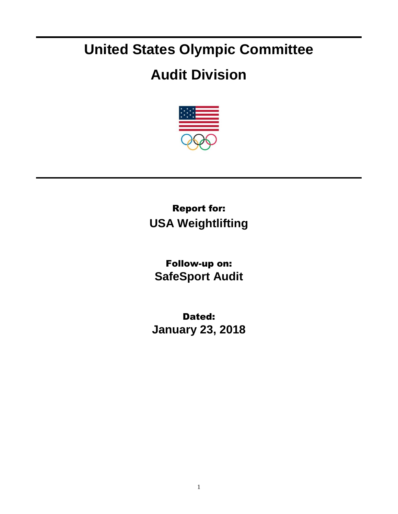## **United States Olympic Committee**

## **Audit Division**



## Report for: **USA Weightlifting**

Follow-up on: **SafeSport Audit**

Dated: **January 23, 2018**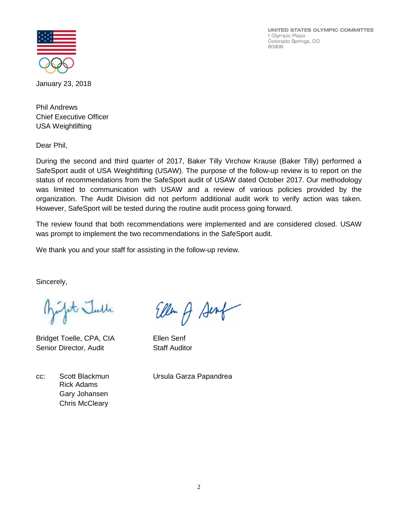UNITED STATES OLYMPIC COMMITTEE 1 Olympic Plaza Colorado Springs, CO 80909



January 23, 2018

Phil Andrews Chief Executive Officer USA Weightlifting

Dear Phil,

During the second and third quarter of 2017, Baker Tilly Virchow Krause (Baker Tilly) performed a SafeSport audit of USA Weightlifting (USAW). The purpose of the follow-up review is to report on the status of recommendations from the SafeSport audit of USAW dated October 2017. Our methodology was limited to communication with USAW and a review of various policies provided by the organization. The Audit Division did not perform additional audit work to verify action was taken. However, SafeSport will be tested during the routine audit process going forward.

The review found that both recommendations were implemented and are considered closed. USAW was prompt to implement the two recommendations in the SafeSport audit.

We thank you and your staff for assisting in the follow-up review.

Sincerely,

fit Julle

Bridget Toelle, CPA, CIA Ellen Senf Senior Director, Audit Staff Auditor

Rick Adams Gary Johansen Chris McCleary

Ellen of Sent

cc: Scott Blackmun Ursula Garza Papandrea